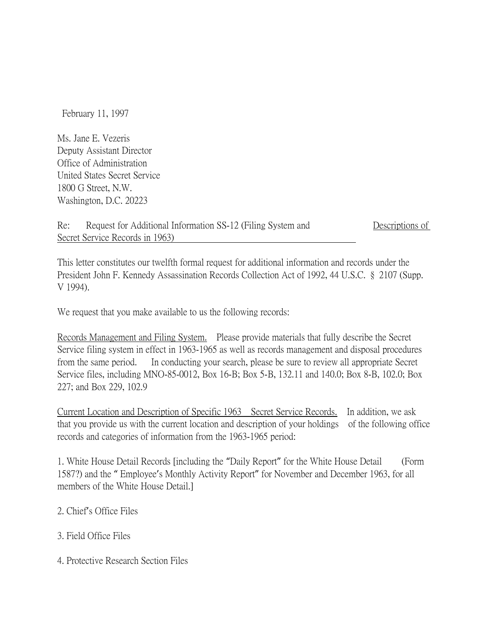February 11, 1997

Ms. Jane E. Vezeris Deputy Assistant Director Office of Administration United States Secret Service 1800 G Street, N.W. Washington, D.C. 20223

## Re: Request for Additional Information SS-12 (Filing System and Descriptions of Secret Service Records in 1963)

This letter constitutes our twelfth formal request for additional information and records under the President John F. Kennedy Assassination Records Collection Act of 1992, 44 U.S.C. § 2107 (Supp. V 1994).

We request that you make available to us the following records:

Records Management and Filing System. Please provide materials that fully describe the Secret Service filing system in effect in 1963-1965 as well as records management and disposal procedures from the same period. In conducting your search, please be sure to review all appropriate Secret Service files, including MNO-85-0012, Box 16-B; Box 5-B, 132.11 and 140.0; Box 8-B, 102.0; Box 227; and Box 229, 102.9

Current Location and Description of Specific 1963 Secret Service Records. In addition, we ask that you provide us with the current location and description of your holdings of the following office records and categories of information from the 1963-1965 period:

1. White House Detail Records [including the "Daily Report" for the White House Detail (Form 1587?) and the " Employee's Monthly Activity Report" for November and December 1963, for all members of the White House Detail.]

- 2. Chief's Office Files
- 3. Field Office Files

4. Protective Research Section Files